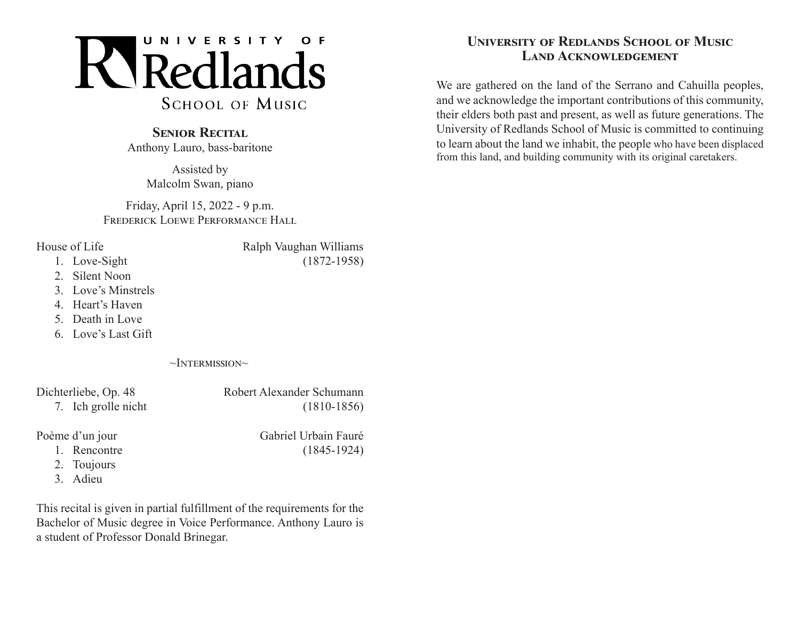

## **SENIOR RECITAL**

Anthony Lauro, bass-baritone

Assisted by Malcolm Swan, piano

Friday, April 15, 2022 - 9 p.m. FREDERICK LOEWE PERFORMANCE HALL

- House of Life Ralph Vaughan Williams 1. Love-Sight (1872-1958)
	-
	- 2. Silent Noon
	- 3. Love's Minstrels
	- 4. Heart's Haven
	- 5. Death in Love
	- 6. Love's Last Gift

 $\sim$ Intermission $\sim$ 

Dichterliebe, Op. 48 Robert Alexander Schumann 7. Ich grolle nicht (1810-1856)

Poème d'un jour Gabriel Urbain Fauré

1. Rencontre (1845-1924)

- 2. Toujours
- 3. Adieu

This recital is given in partial fulfillment of the requirements for the Bachelor of Music degree in Voice Performance. Anthony Lauro is a student of Professor Donald Brinegar.

## **University of Redlands School of Music Land Acknowledgement**

We are gathered on the land of the Serrano and Cahuilla peoples, and we acknowledge the important contributions of this community, their elders both past and present, as well as future generations. The University of Redlands School of Music is committed to continuing to learn about the land we inhabit, the people who have been displaced from this land, and building community with its original caretakers.